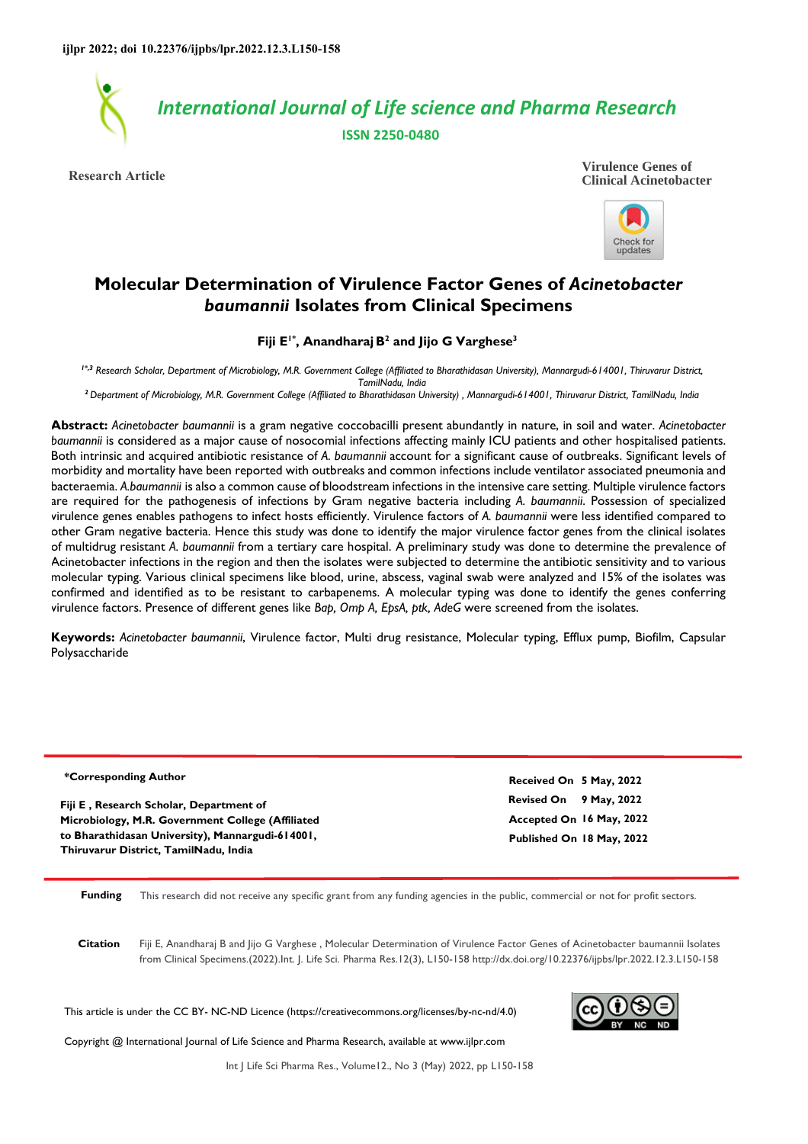

**Research Article**





# **Molecular Determination of Virulence Factor Genes of** *Acinetobacter baumannii* **Isolates from Clinical Specimens**

#### **Fiji E1\*, AnandharajB 2 and Jijo G Varghese<sup>3</sup>**

*1\*,3 Research Scholar, Department of Microbiology, M.R. Government College (Affiliated to Bharathidasan University), Mannargudi-614001, Thiruvarur District, TamilNadu, India* 

*<sup>2</sup>Department of Microbiology, M.R. Government College (Affiliated to Bharathidasan University) , Mannargudi-614001, Thiruvarur District, TamilNadu, India* 

**Abstract:** *Acinetobacter baumannii* is a gram negative coccobacilli present abundantly in nature, in soil and water. *Acinetobacter baumannii* is considered as a major cause of nosocomial infections affecting mainly ICU patients and other hospitalised patients. Both intrinsic and acquired antibiotic resistance of *A. baumannii* account for a significant cause of outbreaks. Significant levels of morbidity and mortality have been reported with outbreaks and common infections include ventilator associated pneumonia and bacteraemia. *A.baumannii* is also a common cause of bloodstream infections in the intensive care setting. Multiple virulence factors are required for the pathogenesis of infections by Gram negative bacteria including *A. baumannii*. Possession of specialized virulence genes enables pathogens to infect hosts efficiently. Virulence factors of *A. baumannii* were less identified compared to other Gram negative bacteria. Hence this study was done to identify the major virulence factor genes from the clinical isolates of multidrug resistant *A. baumannii* from a tertiary care hospital. A preliminary study was done to determine the prevalence of Acinetobacter infections in the region and then the isolates were subjected to determine the antibiotic sensitivity and to various molecular typing. Various clinical specimens like blood, urine, abscess, vaginal swab were analyzed and 15% of the isolates was confirmed and identified as to be resistant to carbapenems. A molecular typing was done to identify the genes conferring virulence factors. Presence of different genes like *Bap, Omp A, EpsA, ptk, AdeG* were screened from the isolates.

**Keywords:** *Acinetobacter baumannii*, Virulence factor, Multi drug resistance, Molecular typing, Efflux pump, Biofilm, Capsular Polysaccharide

**\*Corresponding Author**

**Fiji E , Research Scholar, Department of Microbiology, M.R. Government College (Affiliated to Bharathidasan University), Mannargudi-614001, Thiruvarur District, TamilNadu, India**

**Revised On 9 May, 2022 Accepted On 16 May, 2022 Published On 18 May, 2022 Received On 5 May, 2022**

**Funding** This research did not receive any specific grant from any funding agencies in the public, commercial or not for profit sectors.

**Citation** Fiji E, Anandharaj B and Jijo G Varghese , Molecular Determination of Virulence Factor Genes of Acinetobacter baumannii Isolates from Clinical Specimens.(2022).Int. J. Life Sci. Pharma Res.12(3), L150-158 http://dx.doi.org/10.22376/ijpbs/lpr.2022.12.3.L150-158

This article is under the CC BY- NC-ND Licence (https://creativecommons.org/licenses/by-nc-nd/4.0)



Copyright @ International Journal of Life Science and Pharma Research, available at www.ijlpr.com

Int J Life Sci Pharma Res., Volume12., No 3 (May) 2022, pp L150-158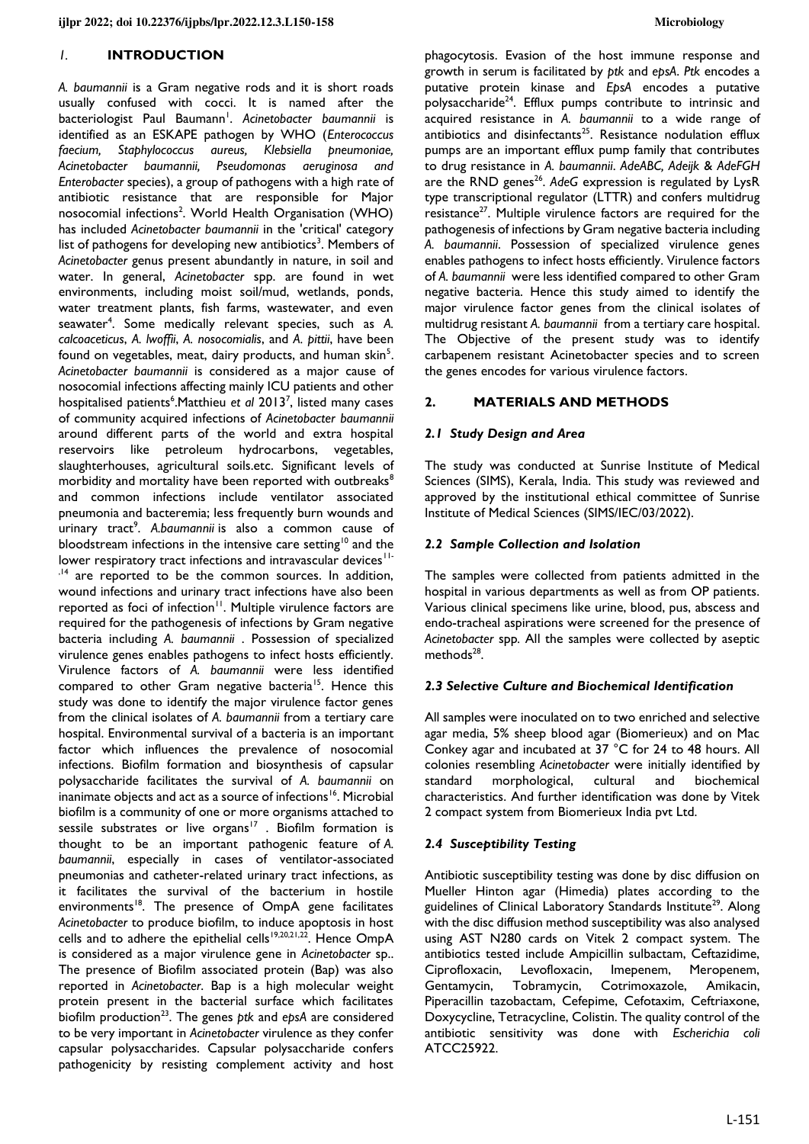#### *1.* **INTRODUCTION**

*A. baumannii* is a Gram negative rods and it is short roads usually confused with cocci. It is named after the bacteriologist Paul Baumann<sup>1</sup>. Acinetobacter baumannii is identified as an ESKAPE pathogen by WHO (*Enterococcus faecium, Staphylococcus aureus, Klebsiella pneumoniae, Acinetobacter baumannii, Pseudomonas aeruginosa and Enterobacter* species), a group of pathogens with a high rate of antibiotic resistance that are responsible for Major nosocomial infections<sup>2</sup>. World Health Organisation (WHO) has included *Acinetobacter baumannii* in the 'critical' category list of pathogens for developing new antibiotics<sup>3</sup>. Members of *Acinetobacter* genus present abundantly in nature, in soil and water. In general, *Acinetobacter* spp. are found in wet environments, including moist soil/mud, wetlands, ponds, water treatment plants, fish farms, wastewater, and even seawater<sup>4</sup> . Some medically relevant species, such as *A. calcoaceticus*, *A. lwoffii*, *A. nosocomialis*, and *A. pittii*, have been found on vegetables, meat, dairy products, and human skin<sup>5</sup>. *Acinetobacter baumannii* is considered as a major cause of nosocomial infections affecting mainly ICU patients and other hospitalised patients<sup>6</sup>. Matthieu et al 2013<sup>7</sup>, listed many cases of community acquired infections of *Acinetobacter baumannii* around different parts of the world and extra hospital reservoirs like petroleum hydrocarbons, vegetables, slaughterhouses, agricultural soils.etc. Significant levels of morbidity and mortality have been reported with outbreaks<sup>8</sup> and common infections include ventilator associated pneumonia and bacteremia; less frequently burn wounds and urinary tract<sup>9</sup>. A.baumannii is also a common cause of bloodstream infections in the intensive care setting<sup>10</sup> and the lower respiratory tract infections and intravascular devices<sup>11-</sup> ,<sup>14</sup> are reported to be the common sources. In addition, wound infections and urinary tract infections have also been reported as foci of infection<sup>11</sup>. Multiple virulence factors are required for the pathogenesis of infections by Gram negative bacteria including *A. baumannii* . Possession of specialized virulence genes enables pathogens to infect hosts efficiently. Virulence factors of *A. baumannii* were less identified compared to other Gram negative bacteria<sup>15</sup>. Hence this study was done to identify the major virulence factor genes from the clinical isolates of *A. baumannii* from a tertiary care hospital. Environmental survival of a bacteria is an important factor which influences the prevalence of nosocomial infections. Biofilm formation and biosynthesis of capsular polysaccharide facilitates the survival of *A. baumannii* on inanimate objects and act as a source of infections<sup>16</sup>. Microbial biofilm is a community of one or more organisms attached to sessile substrates or live organs<sup>17</sup>. Biofilm formation is thought to be an important pathogenic feature of *A. baumannii*, especially in cases of ventilator-associated pneumonias and catheter-related urinary tract infections, as it facilitates the survival of the bacterium in hostile environments<sup>18</sup>. The presence of OmpA gene facilitates *Acinetobacter* to produce biofilm, to induce apoptosis in host cells and to adhere the epithelial cells<sup>19,20,21,22</sup>. Hence OmpA is considered as a major virulence gene in *Acinetobacter* sp.. The presence of Biofilm associated protein (Bap) was also reported in *Acinetobacter*. Bap is a high molecular weight protein present in the bacterial surface which facilitates biofilm production<sup>23</sup>. The genes *ptk* and epsA are considered to be very important in *Acinetobacter* virulence as they confer capsular polysaccharides. Capsular polysaccharide confers pathogenicity by resisting complement activity and host

phagocytosis. Evasion of the host immune response and growth in serum is facilitated by *ptk* and *epsA*. *Ptk* encodes a putative protein kinase and *EpsA* encodes a putative polysaccharide<sup>24</sup>. Efflux pumps contribute to intrinsic and acquired resistance in *A. baumannii* to a wide range of antibiotics and disinfectants<sup>25</sup>. Resistance nodulation efflux pumps are an important efflux pump family that contributes to drug resistance in *A. baumannii*. *AdeABC, Adeijk* & *AdeFGH* are the RND genes<sup>26</sup>. AdeG expression is regulated by LysR type transcriptional regulator (LTTR) and confers multidrug resistance<sup>27</sup>. Multiple virulence factors are required for the pathogenesis of infections by Gram negative bacteria including *A. baumannii*. Possession of specialized virulence genes enables pathogens to infect hosts efficiently. Virulence factors of *A. baumannii* were less identified compared to other Gram negative bacteria. Hence this study aimed to identify the major virulence factor genes from the clinical isolates of multidrug resistant *A. baumannii* from a tertiary care hospital. The Objective of the present study was to identify carbapenem resistant Acinetobacter species and to screen the genes encodes for various virulence factors.

#### **2. MATERIALS AND METHODS**

#### *2.1 Study Design and Area*

The study was conducted at Sunrise Institute of Medical Sciences (SIMS), Kerala, India. This study was reviewed and approved by the institutional ethical committee of Sunrise Institute of Medical Sciences (SIMS/IEC/03/2022).

#### *2.2 Sample Collection and Isolation*

The samples were collected from patients admitted in the hospital in various departments as well as from OP patients. Various clinical specimens like urine, blood, pus, abscess and endo-tracheal aspirations were screened for the presence of *Acinetobacter* spp*.* All the samples were collected by aseptic methods<sup>28</sup>.

#### *2.3 Selective Culture and Biochemical Identification*

All samples were inoculated on to two enriched and selective agar media, 5% sheep blood agar (Biomerieux) and on Mac Conkey agar and incubated at 37 °C for 24 to 48 hours. All colonies resembling *Acinetobacter* were initially identified by standard morphological, cultural and biochemical characteristics. And further identification was done by Vitek 2 compact system from Biomerieux India pvt Ltd.

# *2.4 Susceptibility Testing*

Antibiotic susceptibility testing was done by disc diffusion on Mueller Hinton agar (Himedia) plates according to the guidelines of Clinical Laboratory Standards Institute<sup>29</sup>. Along with the disc diffusion method susceptibility was also analysed using AST N280 cards on Vitek 2 compact system. The antibiotics tested include Ampicillin sulbactam, Ceftazidime, Ciprofloxacin, Levofloxacin, Imepenem, Meropenem, Gentamycin, Tobramycin, Cotrimoxazole, Amikacin, Piperacillin tazobactam, Cefepime, Cefotaxim, Ceftriaxone, Doxycycline, Tetracycline, Colistin. The quality control of the antibiotic sensitivity was done with *Escherichia coli* ATCC25922.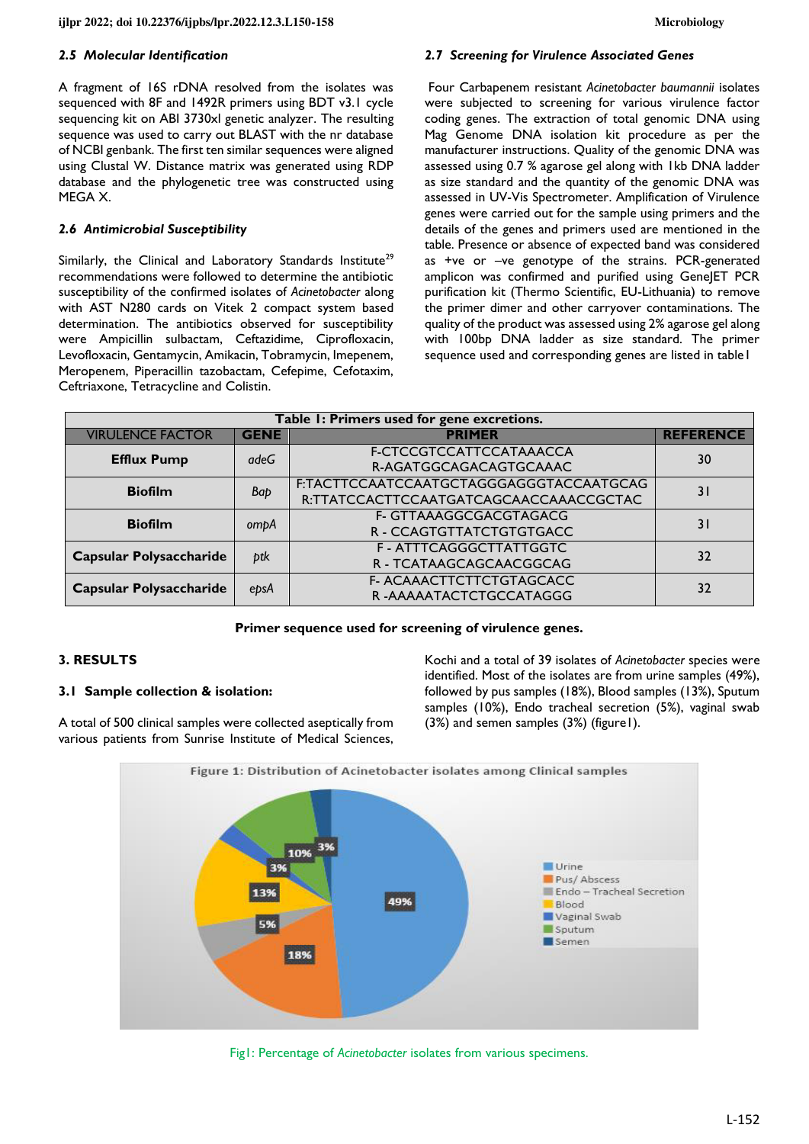#### *2.5 Molecular Identification*

A fragment of 16S rDNA resolved from the isolates was sequenced with 8F and 1492R primers using BDT v3.1 cycle sequencing kit on ABI 3730xl genetic analyzer. The resulting sequence was used to carry out BLAST with the nr database of NCBI genbank. The first ten similar sequences were aligned using Clustal W. Distance matrix was generated using RDP database and the phylogenetic tree was constructed using MEGA X.

## *2.6 Antimicrobial Susceptibility*

Similarly, the Clinical and Laboratory Standards Institute<sup>29</sup> recommendations were followed to determine the antibiotic susceptibility of the confirmed isolates of *Acinetobacter* along with AST N280 cards on Vitek 2 compact system based determination. The antibiotics observed for susceptibility were Ampicillin sulbactam, Ceftazidime, Ciprofloxacin, Levofloxacin, Gentamycin, Amikacin, Tobramycin, Imepenem, Meropenem, Piperacillin tazobactam, Cefepime, Cefotaxim, Ceftriaxone, Tetracycline and Colistin.

#### *2.7 Screening for Virulence Associated Genes*

 Four Carbapenem resistant *Acinetobacter baumannii* isolates were subjected to screening for various virulence factor coding genes. The extraction of total genomic DNA using Mag Genome DNA isolation kit procedure as per the manufacturer instructions. Quality of the genomic DNA was assessed using 0.7 % agarose gel along with 1kb DNA ladder as size standard and the quantity of the genomic DNA was assessed in UV-Vis Spectrometer. Amplification of Virulence genes were carried out for the sample using primers and the details of the genes and primers used are mentioned in the table. Presence or absence of expected band was considered as +ve or –ve genotype of the strains. PCR-generated amplicon was confirmed and purified using GeneJET PCR purification kit (Thermo Scientific, EU-Lithuania) to remove the primer dimer and other carryover contaminations. The quality of the product was assessed using 2% agarose gel along with 100bp DNA ladder as size standard. The primer sequence used and corresponding genes are listed in table1

| Table I: Primers used for gene excretions. |             |                                                   |                  |  |  |  |
|--------------------------------------------|-------------|---------------------------------------------------|------------------|--|--|--|
| <b>VIRULENCE FACTOR</b>                    | <b>GENE</b> | <b>PRIMER</b>                                     | <b>REFERENCE</b> |  |  |  |
| <b>Efflux Pump</b>                         | adeG        | F-CTCCGTCCATTCCATAAACCA<br>R-AGATGGCAGACAGTGCAAAC | 30               |  |  |  |
| <b>Biofilm</b>                             | Bap         | F:TACTTCCAATCCAATGCTAGGGAGGGTACCAATGCAG           |                  |  |  |  |
|                                            |             | R:TTATCCACTTCCAATGATCAGCAACCAAACCGCTAC            | 3 I              |  |  |  |
| <b>Biofilm</b>                             | ompA        | F- GTTAAAGGCGACGTAGACG                            | 3 I              |  |  |  |
|                                            |             | R - CCAGTGTTATCTGTGTGACC                          |                  |  |  |  |
| <b>Capsular Polysaccharide</b>             | btk         | F - ATTTCAGGGCTTATTGGTC                           | 32               |  |  |  |
|                                            |             | R - TCATAAGCAGCAACGGCAG                           |                  |  |  |  |
| <b>Capsular Polysaccharide</b>             | epsA        | F- ACAAACTTCTTCTGTAGCACC                          | 32               |  |  |  |
|                                            |             | R-AAAAATACTCTGCCATAGGG                            |                  |  |  |  |

#### **Primer sequence used for screening of virulence genes.**

#### **3. RESULTS**

#### **3.1 Sample collection & isolation:**

A total of 500 clinical samples were collected aseptically from various patients from Sunrise Institute of Medical Sciences,

Kochi and a total of 39 isolates of *Acinetobacter* species were identified. Most of the isolates are from urine samples (49%), followed by pus samples (18%), Blood samples (13%), Sputum samples (10%), Endo tracheal secretion (5%), vaginal swab (3%) and semen samples (3%) (figure1).



Fig1: Percentage of *Acinetobacter* isolates from various specimens.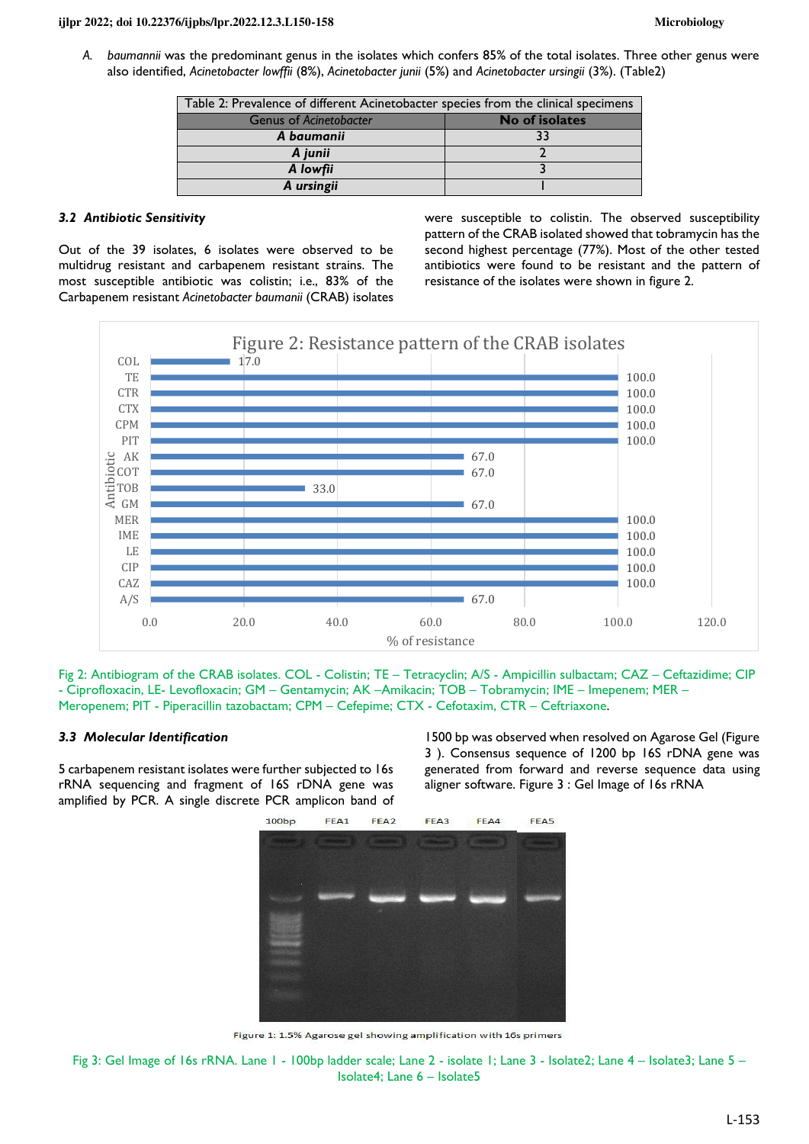*A. baumannii* was the predominant genus in the isolates which confers 85% of the total isolates. Three other genus were also identified, *Acinetobacter lowffii* (8%), *Acinetobacter junii* (5%) and *Acinetobacter ursingii* (3%). (Table2)

| Table 2: Prevalence of different Acinetobacter species from the clinical specimens |                |  |  |
|------------------------------------------------------------------------------------|----------------|--|--|
| <b>Genus of Acinetobacter</b>                                                      | No of isolates |  |  |
| A baumanii                                                                         | 33             |  |  |
| A junii                                                                            |                |  |  |
| A lowfii                                                                           |                |  |  |
| A ursingii                                                                         |                |  |  |

## *3.2 Antibiotic Sensitivity*

Out of the 39 isolates, 6 isolates were observed to be multidrug resistant and carbapenem resistant strains. The most susceptible antibiotic was colistin; i.e., 83% of the Carbapenem resistant *Acinetobacter baumanii* (CRAB) isolates were susceptible to colistin. The observed susceptibility pattern of the CRAB isolated showed that tobramycin has the second highest percentage (77%). Most of the other tested antibiotics were found to be resistant and the pattern of resistance of the isolates were shown in figure 2.



Fig 2: Antibiogram of the CRAB isolates. COL - Colistin; TE – Tetracyclin; A/S - Ampicillin sulbactam; CAZ – Ceftazidime; CIP - Ciprofloxacin, LE- Levofloxacin; GM – Gentamycin; AK –Amikacin; TOB – Tobramycin; IME – Imepenem; MER – Meropenem; PIT - Piperacillin tazobactam; CPM – Cefepime; CTX - Cefotaxim, CTR – Ceftriaxone.

#### *3.3 Molecular Identification*

5 carbapenem resistant isolates were further subjected to 16s rRNA sequencing and fragment of 16S rDNA gene was amplified by PCR. A single discrete PCR amplicon band of

1500 bp was observed when resolved on Agarose Gel (Figure 3 ). Consensus sequence of 1200 bp 16S rDNA gene was generated from forward and reverse sequence data using aligner software. Figure 3 : Gel Image of 16s rRNA



Figure 1: 1.5% Agarose gel showing amplification with 16s primers

Fig 3: Gel Image of 16s rRNA. Lane 1 - 100bp ladder scale; Lane 2 - isolate 1; Lane 3 - Isolate2; Lane 4 – Isolate3; Lane 5 – Isolate4; Lane 6 – Isolate5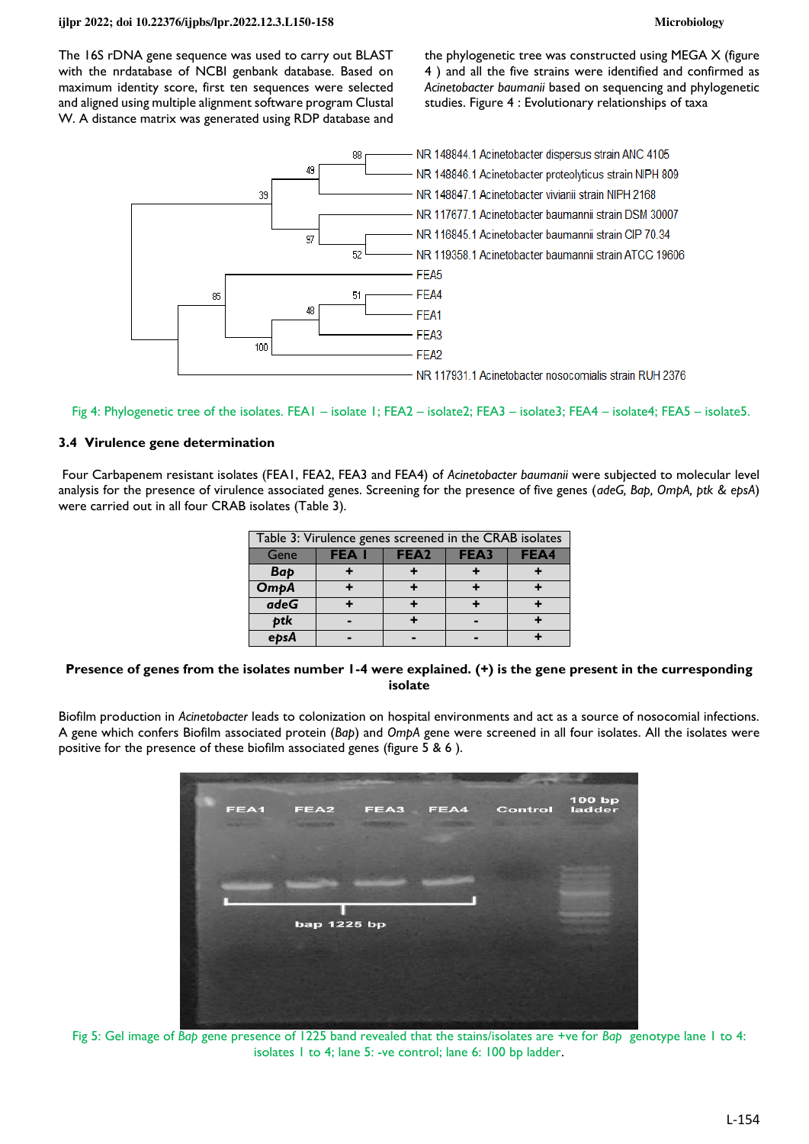The 16S rDNA gene sequence was used to carry out BLAST with the nrdatabase of NCBI genbank database. Based on maximum identity score, first ten sequences were selected and aligned using multiple alignment software program Clustal W. A distance matrix was generated using RDP database and

the phylogenetic tree was constructed using MEGA X (figure 4 ) and all the five strains were identified and confirmed as *Acinetobacter baumanii* based on sequencing and phylogenetic studies. Figure 4 : Evolutionary relationships of taxa



Fig 4: Phylogenetic tree of the isolates. FEA1 – isolate 1; FEA2 – isolate2; FEA3 – isolate3; FEA4 – isolate4; FEA5 – isolate5.

# **3.4 Virulence gene determination**

 Four Carbapenem resistant isolates (FEA1, FEA2, FEA3 and FEA4) of *Acinetobacter baumanii* were subjected to molecular level analysis for the presence of virulence associated genes. Screening for the presence of five genes (*adeG, Bap, OmpA, ptk & epsA*) were carried out in all four CRAB isolates (Table 3).

| Table 3: Virulence genes screened in the CRAB isolates |             |                  |      |      |  |  |  |
|--------------------------------------------------------|-------------|------------------|------|------|--|--|--|
| Gene                                                   | <b>FEAI</b> | FEA <sub>2</sub> | FEA3 | FEA4 |  |  |  |
| Bap                                                    |             |                  |      |      |  |  |  |
| <b>OmpA</b>                                            |             |                  |      |      |  |  |  |
| adeG                                                   |             |                  |      |      |  |  |  |
| btk                                                    |             |                  |      |      |  |  |  |
|                                                        |             |                  |      |      |  |  |  |

#### **Presence of genes from the isolates number 1-4 were explained. (+) is the gene present in the curresponding isolate**

Biofilm production in *Acinetobacter* leads to colonization on hospital environments and act as a source of nosocomial infections. A gene which confers Biofilm associated protein (*Bap*) and *OmpA* gene were screened in all four isolates. All the isolates were positive for the presence of these biofilm associated genes (figure 5 & 6 ).



Fig 5: Gel image of *Bap* gene presence of 1225 band revealed that the stains/isolates are +ve for *Bap* genotype lane 1 to 4: isolates 1 to 4; lane 5: -ve control; lane 6: 100 bp ladder.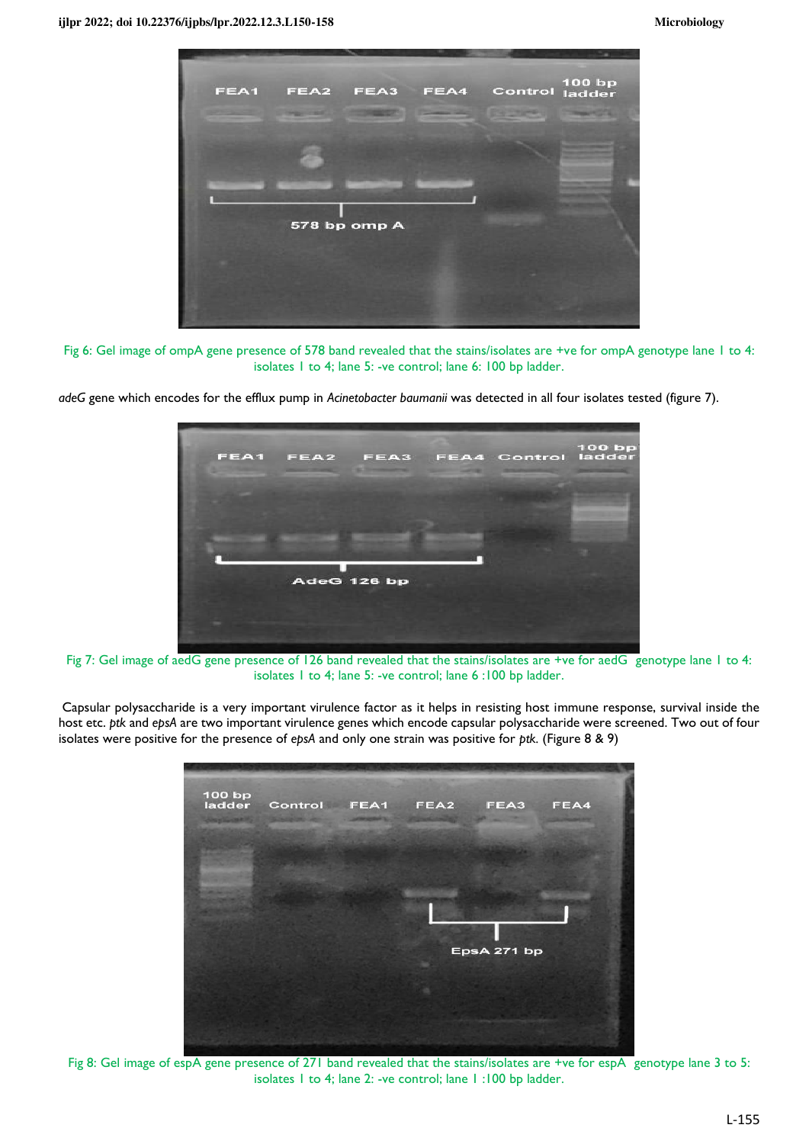

Fig 6: Gel image of ompA gene presence of 578 band revealed that the stains/isolates are +ve for ompA genotype lane 1 to 4: isolates 1 to 4; lane 5: -ve control; lane 6: 100 bp ladder.

*adeG* gene which encodes for the efflux pump in *Acinetobacter baumanii* was detected in all four isolates tested (figure 7).



Fig 7: Gel image of aedG gene presence of 126 band revealed that the stains/isolates are +ve for aedG genotype lane 1 to 4: isolates 1 to 4; lane 5: -ve control; lane 6 :100 bp ladder.

 Capsular polysaccharide is a very important virulence factor as it helps in resisting host immune response, survival inside the host etc. *ptk* and *epsA* are two important virulence genes which encode capsular polysaccharide were screened. Two out of four isolates were positive for the presence of *epsA* and only one strain was positive for *ptk.* (Figure 8 & 9)

| 100 bp<br><b>Single County</b> | ladder Control FEA1 | FEA2 | FEA3        | FEA4 |
|--------------------------------|---------------------|------|-------------|------|
|                                |                     |      |             |      |
|                                |                     |      |             |      |
|                                |                     |      |             |      |
|                                |                     |      |             |      |
|                                |                     |      | EpsA 271 bp |      |
|                                |                     |      |             |      |
|                                |                     |      |             |      |

Fig 8: Gel image of espA gene presence of 271 band revealed that the stains/isolates are +ve for espA genotype lane 3 to 5: isolates 1 to 4; lane 2: -ve control; lane 1 :100 bp ladder.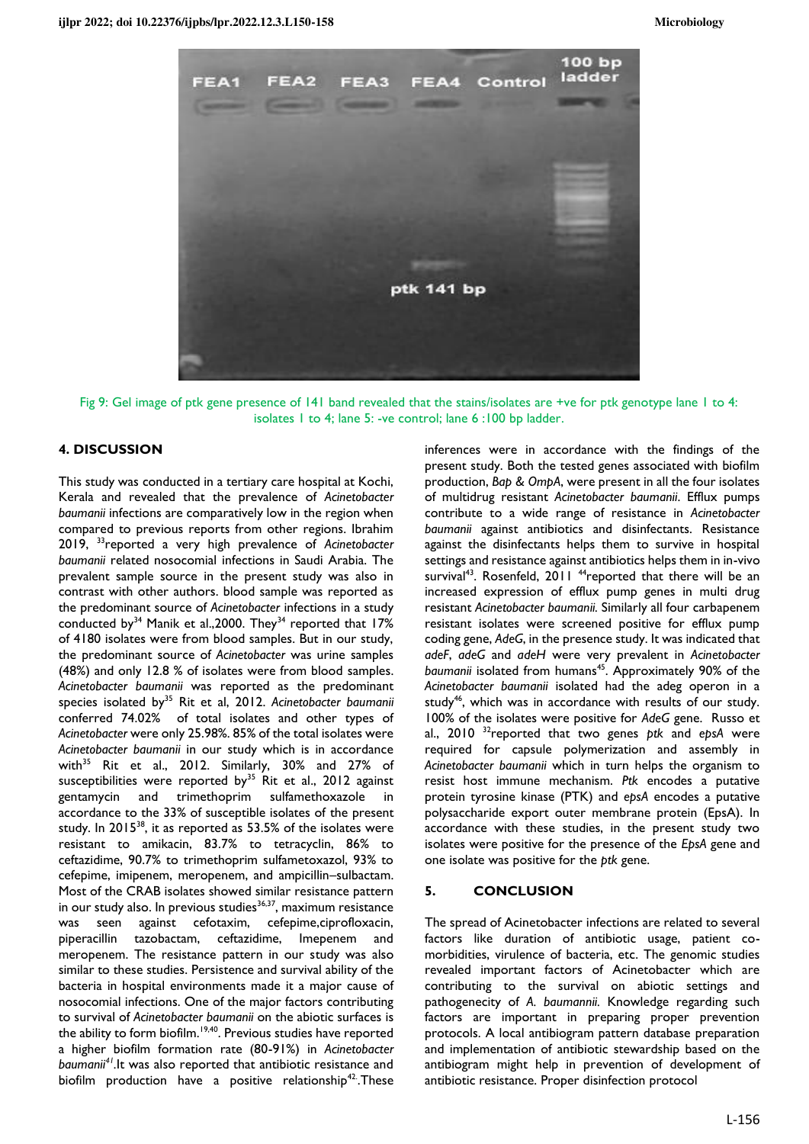

Fig 9: Gel image of ptk gene presence of 141 band revealed that the stains/isolates are +ve for ptk genotype lane 1 to 4: isolates 1 to 4; lane 5: -ve control; lane 6 :100 bp ladder.

#### **4. DISCUSSION**

This study was conducted in a tertiary care hospital at Kochi, Kerala and revealed that the prevalence of *Acinetobacter baumanii* infections are comparatively low in the region when compared to previous reports from other regions. Ibrahim 2019, <sup>33</sup>reported a very high prevalence of *Acinetobacter baumanii* related nosocomial infections in Saudi Arabia. The prevalent sample source in the present study was also in contrast with other authors. blood sample was reported as the predominant source of *Acinetobacter* infections in a study conducted by<sup>34</sup> Manik et al., 2000. They<sup>34</sup> reported that  $17\%$ of 4180 isolates were from blood samples. But in our study, the predominant source of *Acinetobacter* was urine samples (48%) and only 12.8 % of isolates were from blood samples. *Acinetobacter baumanii* was reported as the predominant species isolated by<sup>35</sup> Rit et al, 2012. *Acinetobacter baumanii* conferred 74.02% of total isolates and other types of *Acinetobacter* were only 25.98%. 85% of the total isolates were *Acinetobacter baumanii* in our study which is in accordance with<sup>35</sup> Rit et al., 2012. Similarly, 30% and 27% of susceptibilities were reported by<sup>35</sup> Rit et al., 2012 against gentamycin and trimethoprim sulfamethoxazole accordance to the 33% of susceptible isolates of the present study. In  $2015^{38}$ , it as reported as  $53.5\%$  of the isolates were resistant to amikacin, 83.7% to tetracyclin, 86% to ceftazidime, 90.7% to trimethoprim sulfametoxazol, 93% to cefepime, imipenem, meropenem, and ampicillin–sulbactam. Most of the CRAB isolates showed similar resistance pattern in our study also. In previous studies<sup>36,37</sup>, maximum resistance was seen against cefotaxim, cefepime,ciprofloxacin, piperacillin tazobactam, ceftazidime, Imepenem and meropenem. The resistance pattern in our study was also similar to these studies. Persistence and survival ability of the bacteria in hospital environments made it a major cause of nosocomial infections. One of the major factors contributing to survival of *Acinetobacter baumanii* on the abiotic surfaces is the ability to form biofilm.<sup>19,40</sup>. Previous studies have reported a higher biofilm formation rate (80-91%) in *Acinetobacter baumanii<sup>41</sup> .*It was also reported that antibiotic resistance and biofilm production have a positive relationship<sup>42</sup>. These

inferences were in accordance with the findings of the present study. Both the tested genes associated with biofilm production, *Bap & OmpA*, were present in all the four isolates of multidrug resistant *Acinetobacter baumanii*. Efflux pumps contribute to a wide range of resistance in *Acinetobacter baumanii* against antibiotics and disinfectants. Resistance against the disinfectants helps them to survive in hospital settings and resistance against antibiotics helps them in in-vivo survival<sup>43</sup>. Rosenfeld, 2011 <sup>44</sup>reported that there will be an increased expression of efflux pump genes in multi drug resistant *Acinetobacter baumanii.* Similarly all four carbapenem resistant isolates were screened positive for efflux pump coding gene, *AdeG*, in the presence study. It was indicated that *adeF*, *adeG* and *adeH* were very prevalent in *Acinetobacter*  baumanii isolated from humans<sup>45</sup>. Approximately 90% of the *Acinetobacter baumanii* isolated had the adeg operon in a study<sup>46</sup>, which was in accordance with results of our study. 100% of the isolates were positive for *AdeG* gene. Russo et al., 2010 <sup>32</sup>reported that two genes *ptk* and *epsA* were required for capsule polymerization and assembly in *Acinetobacter baumanii* which in turn helps the organism to resist host immune mechanism. *Ptk* encodes a putative protein tyrosine kinase (PTK) and *epsA* encodes a putative polysaccharide export outer membrane protein (EpsA). In accordance with these studies, in the present study two isolates were positive for the presence of the *EpsA* gene and one isolate was positive for the *ptk* gene.

#### **5. CONCLUSION**

The spread of Acinetobacter infections are related to several factors like duration of antibiotic usage, patient comorbidities, virulence of bacteria, etc. The genomic studies revealed important factors of Acinetobacter which are contributing to the survival on abiotic settings and pathogenecity of *A. baumannii.* Knowledge regarding such factors are important in preparing proper prevention protocols. A local antibiogram pattern database preparation and implementation of antibiotic stewardship based on the antibiogram might help in prevention of development of antibiotic resistance. Proper disinfection protocol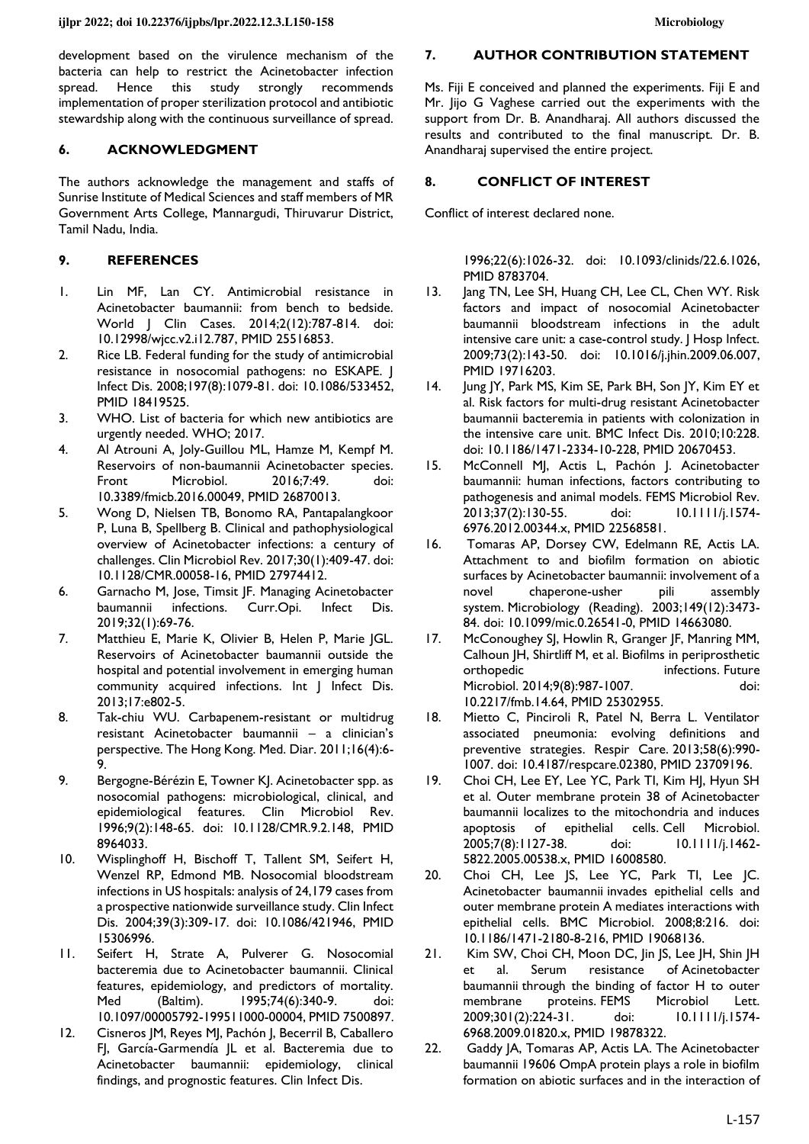development based on the virulence mechanism of the bacteria can help to restrict the Acinetobacter infection spread. Hence this study strongly recommends implementation of proper sterilization protocol and antibiotic stewardship along with the continuous surveillance of spread.

# **6. ACKNOWLEDGMENT**

The authors acknowledge the management and staffs of Sunrise Institute of Medical Sciences and staff members of MR Government Arts College, Mannargudi, Thiruvarur District, Tamil Nadu, India.

# **9. REFERENCES**

- 1. Lin MF, Lan CY. Antimicrobial resistance in Acinetobacter baumannii: from bench to bedside. World J Clin Cases. 2014;2(12):787-814. doi: [10.12998/wjcc.v2.i12.787,](https://doi.org/10.12998/wjcc.v2.i12.787) PMID [25516853.](https://www.ncbi.nlm.nih.gov/pubmed/25516853)
- 2. Rice LB. Federal funding for the study of antimicrobial resistance in nosocomial pathogens: no ESKAPE. J Infect Dis. 2008;197(8):1079-81. doi: [10.1086/533452,](https://doi.org/10.1086/533452)  PMID [18419525.](https://www.ncbi.nlm.nih.gov/pubmed/18419525)
- 3. WHO. List of bacteria for which new antibiotics are urgently needed. WHO; 2017.
- 4. Al Atrouni A, Joly-Guillou ML, Hamze M, Kempf M. Reservoirs of non-baumannii Acinetobacter species. Front Microbiol. 2016;7:49. doi: [10.3389/fmicb.2016.00049,](https://doi.org/10.3389/fmicb.2016.00049) PMID [26870013.](https://www.ncbi.nlm.nih.gov/pubmed/26870013)
- 5. Wong D, Nielsen TB, Bonomo RA, Pantapalangkoor P, Luna B, Spellberg B. Clinical and pathophysiological overview of Acinetobacter infections: a century of challenges. Clin Microbiol Rev. 2017;30(1):409-47. doi: [10.1128/CMR.00058-16,](https://doi.org/10.1128/CMR.00058-16) PMID [27974412.](https://www.ncbi.nlm.nih.gov/pubmed/27974412)
- 6. Garnacho M, Jose, Timsit JF. Managing Acinetobacter baumannii infections. Curr.Opi. Infect Dis. 2019;32(1):69-76.
- 7. Matthieu E, Marie K, Olivier B, Helen P, Marie JGL. Reservoirs of Acinetobacter baumannii outside the hospital and potential involvement in emerging human community acquired infections. Int J Infect Dis. 2013;17:e802-5.
- 8. Tak-chiu WU. Carbapenem-resistant or multidrug resistant Acinetobacter baumannii – a clinician's perspective. The Hong Kong. Med. Diar. 2011;16(4):6- 9.
- 9. Bergogne-Bérézin E, Towner KJ. Acinetobacter spp. as nosocomial pathogens: microbiological, clinical, and epidemiological features. Clin Microbiol Rev. 1996;9(2):148-65. doi: [10.1128/CMR.9.2.148,](https://doi.org/10.1128/CMR.9.2.148) PMID [8964033.](https://www.ncbi.nlm.nih.gov/pubmed/8964033)
- 10. Wisplinghoff H, Bischoff T, Tallent SM, Seifert H, Wenzel RP, Edmond MB. Nosocomial bloodstream infections in US hospitals: analysis of 24,179 cases from a prospective nationwide surveillance study. Clin Infect Dis. 2004;39(3):309-17. doi: [10.1086/421946,](https://doi.org/10.1086/421946) PMID [15306996.](https://www.ncbi.nlm.nih.gov/pubmed/15306996)
- 11. Seifert H, Strate A, Pulverer G. Nosocomial bacteremia due to Acinetobacter baumannii. Clinical features, epidemiology, and predictors of mortality. Med (Baltim). 1995;74(6):340-9. doi: [10.1097/00005792-199511000-00004,](https://doi.org/10.1097/00005792-199511000-00004) PMI[D 7500897.](https://www.ncbi.nlm.nih.gov/pubmed/7500897)
- 12. Cisneros JM, Reyes MJ, Pachón J, Becerril B, Caballero FJ, García-Garmendía JL et al. Bacteremia due to Acinetobacter baumannii: epidemiology, clinical findings, and prognostic features. Clin Infect Dis.

# **7. AUTHOR CONTRIBUTION STATEMENT**

Ms. Fiji E conceived and planned the experiments. Fiji E and Mr. Iijo G Vaghese carried out the experiments with the support from Dr. B. Anandharaj. All authors discussed the results and contributed to the final manuscript. Dr. B. Anandharaj supervised the entire project.

# **8. CONFLICT OF INTEREST**

Conflict of interest declared none.

1996;22(6):1026-32. doi: [10.1093/clinids/22.6.1026,](https://doi.org/10.1093/clinids/22.6.1026) PMID [8783704.](https://www.ncbi.nlm.nih.gov/pubmed/8783704) 

- 13. Jang TN, Lee SH, Huang CH, Lee CL, Chen WY. Risk factors and impact of nosocomial Acinetobacter baumannii bloodstream infections in the adult intensive care unit: a case-control study. | Hosp Infect. 2009;73(2):143-50. doi: [10.1016/j.jhin.2009.06.007,](https://doi.org/10.1016/j.jhin.2009.06.007) PMID [19716203.](https://www.ncbi.nlm.nih.gov/pubmed/19716203)
- 14. Jung JY, Park MS, Kim SE, Park BH, Son JY, Kim EY et al. Risk factors for multi-drug resistant Acinetobacter baumannii bacteremia in patients with colonization in the intensive care unit. BMC Infect Dis. 2010;10:228. doi: [10.1186/1471-2334-10-228,](https://doi.org/10.1186/1471-2334-10-228) PMID [20670453.](https://www.ncbi.nlm.nih.gov/pubmed/20670453)
- 15. McConnell MJ, Actis L, Pachón J. Acinetobacter baumannii: human infections, factors contributing to pathogenesis and animal models. FEMS Microbiol Rev. 2013;37(2):130-55. doi: [10.1111/j.1574-](https://doi.org/10.1111/j.1574-6976.2012.00344.x) [6976.2012.00344.x,](https://doi.org/10.1111/j.1574-6976.2012.00344.x) PMID [22568581.](https://www.ncbi.nlm.nih.gov/pubmed/22568581)
- 16. Tomaras AP, Dorsey CW, Edelmann RE, Actis LA. Attachment to and biofilm formation on abiotic surfaces by Acinetobacter baumannii: involvement of a<br>novel chaperone-usher pili assembly novel chaperone-usher pili assembly system. Microbiology (Reading). 2003;149(12):3473- 84. doi: [10.1099/mic.0.26541-0,](https://doi.org/10.1099/mic.0.26541-0) PMID [14663080.](https://www.ncbi.nlm.nih.gov/pubmed/14663080)
- 17. McConoughey SJ, Howlin R, Granger JF, Manring MM, Calhoun JH, Shirtliff M, et al. Biofilms in periprosthetic orthopedic infections. Future Microbiol. 2014;9(8):987-1007. doi: [10.2217/fmb.14.64,](https://doi.org/10.2217/fmb.14.64) PMID [25302955.](https://www.ncbi.nlm.nih.gov/pubmed/25302955)
- 18. Mietto C, Pinciroli R, Patel N, Berra L. Ventilator associated pneumonia: evolving definitions and preventive strategies. Respir Care. 2013;58(6):990- 1007. doi: [10.4187/respcare.02380,](https://doi.org/10.4187/respcare.02380) PMID [23709196.](https://www.ncbi.nlm.nih.gov/pubmed/23709196)
- 19. Choi CH, Lee EY, Lee YC, Park TI, Kim HJ, Hyun SH et al. Outer membrane protein 38 of Acinetobacter baumannii localizes to the mitochondria and induces apoptosis of epithelial cells. Cell Microbiol. 2005;7(8):1127-38. doi: [10.1111/j.1462-](https://doi.org/10.1111/j.1462-5822.2005.00538.x) [5822.2005.00538.x,](https://doi.org/10.1111/j.1462-5822.2005.00538.x) PMID [16008580.](https://www.ncbi.nlm.nih.gov/pubmed/16008580)
- 20. Choi CH, Lee JS, Lee YC, Park TI, Lee JC. Acinetobacter baumannii invades epithelial cells and outer membrane protein A mediates interactions with epithelial cells. BMC Microbiol. 2008;8:216. doi: [10.1186/1471-2180-8-216,](https://doi.org/10.1186/1471-2180-8-216) PMID [19068136.](https://www.ncbi.nlm.nih.gov/pubmed/19068136)
- 21. Kim SW, Choi CH, Moon DC, Jin JS, Lee JH, Shin JH et al. Serum resistance of Acinetobacter baumannii through the binding of factor H to outer membrane proteins. FEMS Microbiol Lett. 2009;301(2):224-31. doi: [10.1111/j.1574-](https://doi.org/10.1111/j.1574-6968.2009.01820.x) [6968.2009.01820.x,](https://doi.org/10.1111/j.1574-6968.2009.01820.x) PMID [19878322.](https://www.ncbi.nlm.nih.gov/pubmed/19878322)
- 22. Gaddy JA, Tomaras AP, Actis LA. The Acinetobacter baumannii 19606 OmpA protein plays a role in biofilm formation on abiotic surfaces and in the interaction of